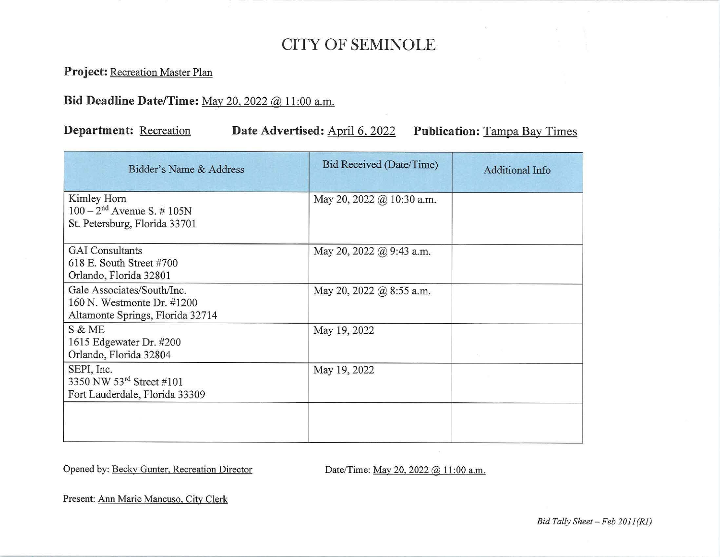## CITY OF SEMINOLE

**Project:** Recreation Master Plan

## **Bid Deadline Date/Time:** May 20, 2022 @ 11 :00 a.m.

## **Department:** Recreation **Date Advertised:** April 6, 2022 **Publication:** Tampa Bay Times

| Bidder's Name & Address                                                                      | Bid Received (Date/Time)  | <b>Additional Info</b> |
|----------------------------------------------------------------------------------------------|---------------------------|------------------------|
| Kimley Horn<br>$100 - 2^{nd}$ Avenue S. # 105N<br>St. Petersburg, Florida 33701              | May 20, 2022 @ 10:30 a.m. |                        |
| <b>GAI</b> Consultants<br>618 E. South Street #700<br>Orlando, Florida 32801                 | May 20, 2022 @ 9:43 a.m.  |                        |
| Gale Associates/South/Inc.<br>160 N. Westmonte Dr. #1200<br>Altamonte Springs, Florida 32714 | May 20, 2022 @ 8:55 a.m.  |                        |
| S & ME<br>1615 Edgewater Dr. #200<br>Orlando, Florida 32804                                  | May 19, 2022              |                        |
| SEPI, Inc.<br>3350 NW 53rd Street #101<br>Fort Lauderdale, Florida 33309                     | May 19, 2022              |                        |
|                                                                                              |                           |                        |

Opened by: Becky Gunter, Recreation Director Date/Time: May 20, 2022 @ 11:00 a.m.

Present: Ann Marie Mancuso, City Clerk